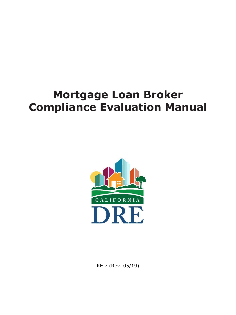# **Mortgage Loan Broker Compliance Evaluation Manual**



RE 7 (Rev. 05/19)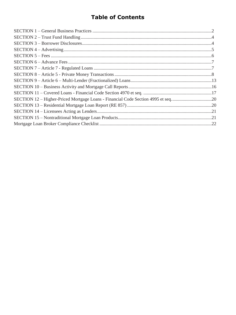## **Table of Contents**

| SECTION 12 – Higher-Priced Mortgage Loans - Financial Code Section 4995 et seq20 |  |
|----------------------------------------------------------------------------------|--|
|                                                                                  |  |
|                                                                                  |  |
|                                                                                  |  |
|                                                                                  |  |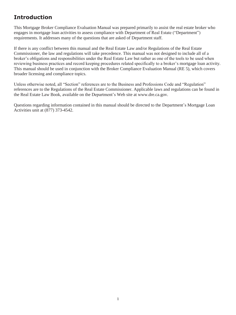requirements. It addresses many of the questions that are asked of Department staff. This Mortgage Broker Compliance Evaluation Manual was prepared primarily to assist the real estate broker who engages in mortgage loan activities to assess compliance with Department of Real Estate ("Department")

 If there is any conflict between this manual and the Real Estate Law and/or Regulations of the Real Estate Commissioner, the law and regulations will take precedence. This manual was not designed to include all of a **Introduction**<br>This Mortgage Broker Compliance Evaluation Manu<br>engages in mortgage loan activities to assess complia<br>requirements. It addresses many of the questions that<br>If there is any conflict between this manual and th broker's obligations and responsibilities under the Real Estate Law but rather as one of the tools to be used when reviewing business practices and record keeping procedures related specifically to a broker's mortgage loan activity. This manual should be used in conjunction with the Broker Compliance Evaluation Manual (RE 5), which covers broader licensing and compliance topics.

 Unless otherwise noted, all "Section" references are to the Business and Professions Code and "Regulation" references are to the Regulations of the Real Estate Commissioner. Applicable laws and regulations can be found in the Real Estate Law Book, available on the Department's Web site at www.dre.ca.gov.

Questions regarding information contained in this manual should be directed to the Department's Mortgage Loan Activities unit at (877) 373-4542.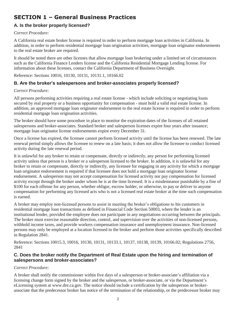## <span id="page-3-0"></span>**SECTION 1 – General Business Practices**

### **A. Is the broker properly licensed?**

### *Correct Procedure:*

A California real estate broker license is required in order to perform mortgage loan activities in California. In addition, in order to perform residential mortgage loan origination activities, mortgage loan originator endorsements to the real estate broker are required.

 such as the California Finance Lenders license and the California Residential Mortgage Lending license. For It should be noted there are other licenses that allow mortgage loan brokering under a limited set of circumstances information about these licenses, contact the California Department of Business Oversight.

Reference: Sections 10016, 10130, 10131, 10131.1, 10166.02

### **B. Are the broker's salespersons and broker-associates properly licensed?**

### *Correct Procedure:*

 All persons performing activities requiring a real estate license - which include soliciting or negotiating loans secured by real property or a business opportunity for compensation - must hold a valid real estate license. In addition, an approved mortgage loan originator endorsement to the real estate license is required in order to perform residential mortgage loan origination activities.

The broker should have some procedure in place to monitor the expiration dates of the licenses of all retained salespersons and broker-associates. Standard broker and salesperson licenses expire four years after issuance; mortgage loan originator license endorsements expire every December 31.

 renewal period simply allows the licensee to renew on a late basis; it does not allow the licensee to conduct licensed Once a license has expired, the licensee cannot perform licensed activity until the license has been renewed. The late activity during the late renewal period.

 compensation for performing any licensed acts who is not a licensed real estate broker at the time such compensation It is unlawful for any broker to retain or compensate, directly or indirectly, any person for performing licensed activity unless that person is a broker or a salesperson licensed to the broker. In addition, it is unlawful for any broker to retain or compensate, directly or indirectly, any licensee for engaging in any activity for which a mortgage loan originator endorsement is required if that licensee does not hold a mortgage loan originator license endorsement. A salesperson may not accept compensation for licensed activity nor pay compensation for licensed activity except through the broker under whom he is at the time licensed. It is a misdemeanor punishable by a fine of \$100 for each offense for any person, whether obligor, escrow holder, or otherwise, to pay or deliver to anyone is earned.

 residential mortgage loan transactions as defined in Financial Code Section 50003, where the lender is an A broker may employ non-licensed persons to assist in meeting the broker's obligations to his customers in institutional lender, provided the employee does not participate in any negotiations occurring between the principals. The broker must exercise reasonable direction, control, and supervision over the activities of non-licensed persons, withhold income taxes, and provide workers compensation insurance and unemployment insurance. Non-licensed persons may only be employed at a location licensed to the broker and perform those activities specifically described in Regulation 2841.

Reference: Sections 10015.3, 10016, 10130, 10131, 10133.1, 10137, 10138, 10139, 10166.02; Regulations 2756, 2841

### **C. Does the broker notify the Department of Real Estate upon the hiring and termination of salespersons and broker-associates?**

### *Correct Procedure:*

A broker shall notify the commissioner within five days of a salesperson or broker-associate's affiliation via a licensing change form signed by the broker and the salesperson, or broker-associate, or via the Department's eLicensing system at www.dre.ca.gov. The notice should include a certification by the salesperson or brokerassociate that the predecessor broker has notice of the termination of the relationship, or the predecessor broker may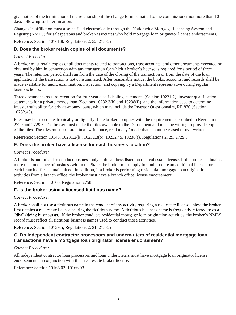give notice of the termination of the relationship if the change form is mailed to the commissioner not more than 10 days following such termination.

 Changes in affiliation must also be filed electronically through the Nationwide Mortgage Licensing System and Registry (NMLS) for salespersons and broker-associates who hold mortgage loan originator license endorsements.

Reference: Section 10161.8; Regulations 2752, 2758.5

### **D. Does the broker retain copies of all documents?**

### *Correct Procedure:*

A broker must retain copies of all documents related to transactions, trust accounts, and other documents executed or obtained by him in connection with any transaction for which a broker's license is required for a period of three years. The retention period shall run from the date of the closing of the transaction or from the date of the loan application if the transaction is not consummated. After reasonable notice, the books, accounts, and records shall be made available for audit, examination, inspection, and copying by a Department representative during regular business hours.

Three documents require retention for four years: self-dealing statements (Section 10231.2), investor qualification statements for a private money loan (Sections 10232.3(b) and 10238(f)), and the information used to determine investor suitability for private-money loans, which may include the Investor Questionnaire, RE 870 (Section 10232.45).

 of the files. The files must be stored in a "write once, read many" mode that cannot be erased or overwritten. Files may be stored electronically or digitally if the broker complies with the requirements described in Regulations 2729 and 2729.5. The broker must make the files available to the Department and must be willing to provide copies

Reference: Section 10148, 10231.2(b), 10232.3(b), 10232.45, 10238(f), Regulations 2729, 2729.5

### **E. Does the broker have a license for each business location?**

### *Correct Procedure:*

A broker is authorized to conduct business only at the address listed on the real estate license. If the broker maintains more than one place of business within the State, the broker must apply for and procure an additional license for each branch office so maintained. In addition, if a broker is performing residential mortgage loan origination activities from a branch office, the broker must have a branch office license endorsement.

Reference: Section 10163, Regulation 2758.5

### **F. Is the broker using a licensed fictitious name?**

### *Correct Procedure:*

A broker shall not use a fictitious name in the conduct of any activity requiring a real estate license unless the broker first obtains a real estate license bearing the fictitious name. A fictitious business name is frequently referred to as a "dba" (doing business as). If the broker conducts residential mortgage loan origination activities, the broker's NMLS record must reflect all fictitious business names used to conduct those activities.

### Reference: Section 10159.5; Regulations 2731, 2758.5

### **G. Do independent contractor processors and underwriters of residential mortgage loan transactions have a mortgage loan originator license endorsement?**

### *Correct Procedure:*

All independent contractor loan processors and loan underwriters must have mortgage loan originator license endorsements in conjunction with their real estate broker license.

Reference: Section 10166.02, 10166.03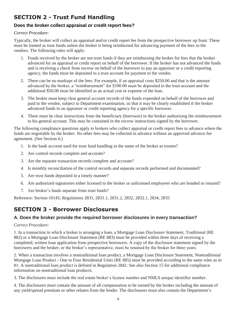### **Does the broker collect appraisal or credit report fees?**

### *Correct Procedure:*

Typically, the broker will collect an appraisal and/or credit report fee from the prospective borrower up front. These must be treated as trust funds unless the broker is being reimbursed for advancing payment of the fees to the vendors. The following rules will apply:

- <span id="page-5-0"></span>**SECTION 2 - Trust Fund Handling**<br> **Does the broker collect appraisal or credit report fees?**<br> *Correct Procedure:*<br> **Typically, the broker will collect an appraisal and/or credit report fee from the prospective bor<br>
must** 1. Funds received by the broker are not trust funds if they are reimbursing the broker for fees that the broker advanced for an appraisal or credit report on behalf of the borrower. If the broker has not advanced the funds and is receiving a check from escrow on behalf of the borrower to pay an appraiser or a credit reporting agency, the funds must be deposited to a trust account for payment to the vendor.
	- 2. There can be no markups of the fees. For example, if an appraisal costs \$250.00 and that is the amount advanced by the broker, a "reimbursement" for \$300.00 must be deposited to the trust account and the additional \$50.00 must be identified as an actual cost or expense of the loan.
	- paid to the vendor, subject to Department examination, so that it may be clearly established if the broker 3. The broker must keep clear general account records of the funds expended on behalf of the borrower and advanced funds to an appraiser or credit reporting agency for a specific borrower.
	- 4. There must be clear instructions from the beneficiary (borrower) to the broker authorizing the reimbursement to his general account. This may be contained in the escrow instructions signed by the borrower.

 The following compliance questions apply to brokers who collect appraisal or credit report fees in advance where the funds are negotiable by the broker. No other fees may be collected in advance without an approved advance fee agreement. (See Section 6.)

- 1. Is the bank account used for trust fund handling in the name of the broker as trustee?
- 2. Are control records complete and accurate?
- 3. Are the separate transaction records complete and accurate?
- 4. Is monthly reconciliation of the control records and separate records performed and documented?
- 5. Are trust funds deposited in a timely manner?
- 6. Are authorized signatories either licensed to the broker or unlicensed employees who are bonded or insured?
- 7. Are broker's funds separate from trust funds?

Reference: Section 10145; Regulations 2831, 2831.1, 2831.2, 2832, 2832.1, 2834, 2835

### **SECTION 3 - Borrower Disclosures**

### **A. Does the broker provide the required borrower disclosures in every transaction?**

### *Correct Procedure:*

1. In a transaction in which a broker is arranging a loan, a Mortgage Loan Disclosure Statement, Traditional (RE 882) or a Mortgage Loan Disclosure Statement (RE 883) must be provided within three days of receiving a completed, written loan application from prospective borrowers. A copy of the disclosure statement signed by the borrowers and the broker, or the broker's representative, must be retained by the broker for three years.

 #1. A nontraditional loan product is defined in Regulation 2842. See also Section 15 for additional compliance 2. When a transaction involves a nontraditional loan product, a Mortgage Loan Disclosure Statement, Nontraditional Mortgage Loan Product - One to Four Residential Units (RE 885) must be provided according to the same rules as in information on nontraditional loan products.

3. The disclosures must include the real estate broker's license number and NMLS unique identifier number.

 4. The disclosures must contain the amount of all compensation to be earned by the broker including the amount of any yield/spread premium or other rebates from the lender. The disclosures must also contain the Department's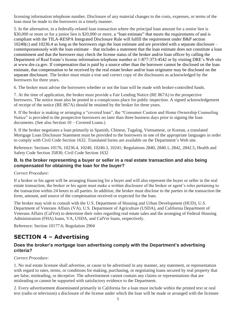<span id="page-6-0"></span>loan must be made to the borrowers in a timely manner.

\$30,000 or more or for a junior lien is \$20,000 or more, a "loan estimate" that meets the requirements of and is contemporaneously with the loan estimate – that includes a statement that the loan estimate does not constitute a loan Department of Real Estate's license information telephone number at 1-877-373-4542 or by visiting DRE's Web site licensing information telephone number. Disclosure of any material changes to the costs, expenses, or terms of the contrast in its determinitive related (non transaction where the principal conta meanon for a senior lie is 5. In the alternative, in a federally-related loan transaction where the principal loan amount for a senior lien is compliant with the TILA-RESPA Integrated Disclosure Rule will fulfill the requirement under B&P section 10240(c) and 10236.4 as long as the borrowers sign the loan estimate and are provided with a separate disclosure – commitment and that the borrower may check the license status of the broker and/or loan officer by calling the at [www.dre.ca.gov.](www.dre.ca.gov) If compensation that is paid by a source other than the borrower cannot be disclosed on the loan estimate, that compensation to be received by the real estate broker and/or loan originator may be disclosed on the separate disclosure. The broker must retain a true and correct copy of the disclosures as acknowledged by the borrowers for three years.

6. The broker must advise the borrowers whether or not the loan will be made with broker-controlled funds.

7. At the time of application, the broker must provide a Fair Lending Notice (RE 867A) to the prospective borrowers. The notice must also be posted in a conspicuous place for public inspection. A signed acknowledgement of receipt of the notice (RE 867A) should be retained by the broker for three years.

8. If the broker is making or arranging a "covered loan", the "Consumer Caution and Home Ownership Counseling Notice" is provided to the prospective borrowers no later than three business days prior to signing the loan documents. (See also Section 10 – Covered Loans.)

 Mortgage Loan Disclosure Statement must be provided to the borrowers in one of the appropriate languages in order 9. If the broker negotiates a loan primarily in Spanish, Chinese, Tagalog, Vietnamese, or Korean, a translated to comply with Civil Code Section 1632. Translated forms are available on the Department's Web site.

Reference: Sections 10176, 10236.4, 10240, 10240.3, 10241; Regulations 2840, 2840.1, 2842, 2842.5; Health and Safety Code Section 35830; Civil Code Section 1632

### **B. Is the broker representing a buyer or seller in a real estate transaction and also being compensated for obtaining the loan for the buyer?**

### *Correct Procedure:*

 estate transaction, the broker or his agent must make a written disclosure of the broker or agent's roles pertaining to If a broker or his agent will be arranging financing for a buyer and will also represent the buyer or seller in the real the transaction within 24 hours to all parties. In addition, the broker must disclose to the parties in the transaction the form, amount, and source of the compensation received or expected for the loan.

 Veterans Affairs (CalVet) to determine their rules regarding real estate sales and the arranging of Federal Housing The broker may wish to consult with the U.S. Department of Housing and Urban Development (HUD), U.S. Department of Veterans Affairs (VA), U.S. Department of Agriculture (USDA), and California Department of Administration (FHA) loans, VA, USDA, and CalVet loans, respectively.

Reference: Section 10177.6; Regulation 2904

### **SECTION 4 – Advertising**

### **Does the broker's mortgage loan advertising comply with the Department's advertising criteria?**

### *Correct Procedure:*

 1. No real estate licensee shall advertise, or cause to be advertised in any manner, any statement, or representation are false, misleading, or deceptive. The advertisement cannot contain any claims or representations that are with regard to rates, terms, or conditions for making, purchasing, or negotiating loans secured by real property that misleading or cannot be supported with satisfactory evidence to the Department.

 text (radio or television) a disclosure of the license under which the loan will be made or arranged with the licensee 2. Every advertisement disseminated primarily in California for a loan must include within the printed text or oral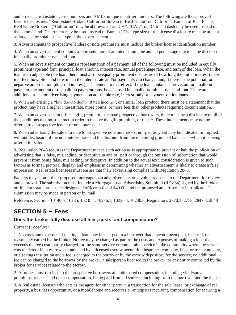<span id="page-7-0"></span> and broker's real estate license numbers and NMLS unique identifier numbers. The following are the approved the comma, and Department may be used instead of Bureau.) The type size of the license disclosure must be at least license disclosures: "Real Estate Broker, California Bureau of Real Estate" or "California Bureau of Real Estate, Real Estate Broker". ("California" may be abbreviated as "CA", "CAL", or "Calif", a dash may be used instead of as large as the smallest size type in the advertisement.

3. Advertisements to prospective lenders or note purchasers must include the broker license identification number.

4. When an advertisement contains a representation of an interest rate, the annual percentage rate must be disclosed in equally prominent type and font.

 loan is an adjustable rate loan, there must also be equally prominent disclosure of how long the initial interest rate is 5. When an advertisement contains a representation of a payment, all of the following must be included in equally prominent type and font: principal loan amount, interest rate, annual percentage rate, and term of the loan. When the in effect, how often and how much the interest rate and/or payments can change, and, if there is the potential for negative amortization (deferred interest), a statement to that effect. If the loan contains a provision for a balloon payment, the amount of the balloon payment must be disclosed in equally prominent type and font. There are additional rules for advertising payments on adjustable rate, interest-only or payment-option loans.

 6. When advertising a "low doc/no doc", "stated income", or similar loan product, there must be a statement that the product may have a higher interest rate, more points, or more fees than other products requiring documentation.

 7. When an advertisement offers a gift, premium, or rebate prospective borrowers, there must be a disclosure of all of the conditions that must be met in order to receive the gift, premium, or rebate. These inducements may not be offered to a prospective lender or note purchaser.

8. When advertising the sale of a note to prospective note purchasers, no specific yield may be indicated or implied without disclosure of the note interest rate and the discount from the remaining principal balance at which it is being offered for sale.

9. Regulation 2848 requires the Department to take such action as is appropriate to prevent or halt the publication of advertising that is false, misleading, or deceptive in and of itself or through the omission of information that would prevent it from being false, misleading, or deceptive. In addition to the actual text, consideration is given to such factors as format, pictorial display, and emphasis in determining whether an advertisement is likely to create a false impression. Real estate licensees must ensure that their advertising complies with Regulation 2848.

Brokers may submit their proposed mortgage loan advertisements on a voluntary basis to the Department for review and approval. The submission must include a Mortgage Loan Advertising Submittal (RE 884) signed by the broker or, if a corporate broker, the designated officer, a fee of \$40.00, and the proposed advertisement in triplicate. The submission may be made in person or by mail.

Reference: Sections 10140.6, 10235, 10235.5, 10236.1, 10236.4, 10240.3; Regulations 2770.1, 2773, 2847.3, 2848

### **SECTION 5 – Fees**

### **Does the broker fully disclose all fees, costs, and compensation?**

### *Correct Procedure:*

1. No costs and expenses of making a loan may be charged to a borrower that have not been paid, incurred, or reasonably earned by the broker. No fee may be charged as part of the costs and expenses of making a loan that exceeds the fee customarily charged for the same service or comparable service in the community where the service was rendered. If an escrow is conducted by a licensed escrow agent, title insurance company, bank or trust company, or a savings institution and a fee is charged to the borrower by the escrow depository for the service, no additional fee can be charged to the borrower by the broker, a salesperson licensed to the broker, or any entity controlled by the broker for services related to the escrow.

 2. A broker must disclose to the prospective borrowers all anticipated compensation, including yield/spread premiums, rebates, and other compensation, being paid from all sources, including from the borrower and the lender.

 3. A real estate licensee who acts as the agent for either party in a transaction for the sale, lease, or exchange of real property, a business opportunity, or a mobilehome and receives or anticipates receiving compensation for securing a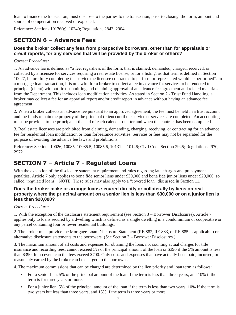<span id="page-8-0"></span>loan to finance the transaction, must disclose to the parties to the transaction, prior to closing, the form, amount and source of compensation received or expected.

Reference: Sections 10176(g), 10240; Regulations 2843, 2904

### **SECTION 6 – Advance Fees**

### **Does the broker collect any fees from prospective borrowers, other than for appraisals or credit reports, for any services that will be provided by the broker or others?**

### *Correct Procedure:*

 collected by a licensee for services requiring a real estate license, or for a listing, as that term is defined in Section 1. An advance fee is defined as "a fee, regardless of the form, that is claimed, demanded, charged, received, or 10027, before fully completing the service the licensee contracted to perform or represented would be performed". In a mortgage loan transaction, it is unlawful for a broker to collect a fee in advance for services to be rendered to a principal (client) without first submitting and obtaining approval of an advance fee agreement and related materials from the Department. This includes loan modification activities. As stated in Section 2 - Trust Fund Handling, a broker may collect a fee for an appraisal report and/or credit report in advance without having an advance fee agreement.

 must be provided to the principal at the end of each calendar quarter and when the contract has been completed. 2. When a broker collects an advance fee pursuant to an approved agreement, the fee must be held in a trust account and the funds remain the property of the principal (client) until the service or services are completed. An accounting

3. Real estate licensees are prohibited from claiming, demanding, charging, receiving, or contracting for an advance fee for residential loan modification or loan forbearance activities. Services or fees may not be separated for the purpose of avoiding the advance fee laws and prohibitions.

Reference: Sections 10026, 10085, 10085.5, 10085.6, 10131.2, 10146; Civil Code Section 2945; Regulations 2970, 2972

### **SECTION 7 – Article 7 - Regulated Loans**

With the exception of the disclosure statement requirement and rules regarding late charges and prepayment penalties, Article 7 only applies to bona fide senior liens under \$30,000 and bona fide junior liens under \$20,000, so called "regulated loans". NOTE: These rules may also apply to a "covered loan" discussed in Section 11.

### **Does the broker make or arrange loans secured directly or collaterally by liens on real property where the principal amount on a senior lien is less than \$30,000 or on a junior lien is less than \$20,000?**

### *Correct Procedure:*

any parcel containing four or fewer residential buildings. 1. With the exception of the disclosure statement requirement (see Section 3 – Borrower Disclosures), Article 7 applies only to loans secured by a dwelling which is defined as a single dwelling in a condominium or cooperative or

2. The broker must provide the Mortgage Loan Disclosure Statement (RE 882, RE 883, or RE 885 as applicable) or alternative disclosure statements to the borrowers. (See Section 3 – Borrower Disclosures.)

 3. The maximum amount of all costs and expenses for obtaining the loan, not counting actual charges for title insurance and recording fees, cannot exceed 5% of the principal amount of the loan or \$390 if the 5% amount is less than \$390. In no event can the fees exceed \$700. Only costs and expenses that have actually been paid, incurred, or reasonably earned by the broker can be charged to the borrower.

4. The maximum commissions that can be charged are determined by the lien priority and loan term as follows:

- For a senior lien, 5% of the principal amount of the loan if the term is less than three years, and 10% if the term is for three years or more.
- For a junior lien, 5% of the principal amount of the loan if the term is less than two years, 10% if the term is two years but less than three years, and 15% if the term is three years or more.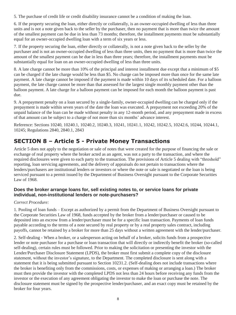<span id="page-9-0"></span>5. The purchase of credit life or credit disability insurance cannot be a condition of making the loan.

6. If the property securing the loan, either directly or collaterally, is an owner-occupied dwelling of less than three units and is not a note given back to the seller by the purchaser, then no payment that is more than twice the amount of the smallest payment can be due in less than 73 months; therefore, the installment payments must be substantially equal for an owner-occupied dwelling loan with a term of six years or less.

7. If the property securing the loan, either directly or collaterally, is not a note given back to the seller by the purchaser and is not an owner-occupied dwelling of less than three units, then no payment that is more than twice the amount of the smallest payment can be due in less than three years; therefore, the installment payments must be substantially equal for loan on an owner-occupied dwelling of less than three units.

 8. A late charge cannot be more than 10% of the principal and interest installment due except that a minimum of \$5 can be charged if the late charge would be less than \$5. No charge can be imposed more than once for the same late payment. A late charge cannot be imposed if the payment is made within 10 days of its scheduled date. For a balloon payment, the late charge cannot be more than that assessed for the largest single monthly payment other than the balloon payment. A late charge for a balloon payment can be imposed for each month the balloon payment is past due.

 of that amount can be subject to a charge of not more than six months' advance interest. 9. A prepayment penalty on a loan secured by a single-family, owner-occupied dwelling can be charged only if the prepayment is made within seven years of the date the loan was executed. A prepayment not exceeding 20% of the unpaid balance of the loan can be made without penalty in any 12-month period, and any prepayment made in excess

Reference: Sections 10240, 10240.1, 10240.2, 10240.3, 10241, 10241.1, 10242, 10242.5, 10242.6, 10244, 10244.1, 10245; Regulations 2840, 2840.1, 2843

### **SECTION 8 – Article 5 - Private Money Transactions**

serviced pursuant to a permit issued by the Department of Business Oversight pursuant to the Corporate Securities Article 5 does not apply to the negotiation or sale of notes that were created for the purpose of financing the sale or exchange of real property where the broker acted as an agent, was not a party to the transaction, and where the required disclosures were given to each party to the transaction. The provisions of Article 5 dealing with "threshold" reporting, loan servicing agreements, and the delivery of appraisals do not pertain to transactions where the lenders/purchasers are institutional lenders or investors or where the note or sale is negotiated or the loan is being Law of 1968.

### **Does the broker arrange loans for, sell existing notes to, or service loans for private individual, non-institutional lenders or note-purchasers?**

### *Correct Procedure:*

1. Pooling of loan funds – Except as authorized by a permit from the Department of Business Oversight pursuant to the Corporate Securities Law of 1968, funds accepted by the broker from a lender/purchaser or caused to be deposited into an escrow from a lender/purchaser must be for a specific loan transaction. Payments of loan funds payable according to the terms of a note secured by real property or by a real property sales contract, including payoffs, cannot be retained by a broker for more than 25 days without a written agreement with the lender/purchaser.

 statement, without the investor's signature, to the Department. The completed disclosure is sent along with a investor or the execution of any agreement obligating the investor to make the loan or purchase the note. The disclosure statement must be signed by the prospective lender/purchaser, and an exact copy must be retained by the 2. Self-dealing - When a broker, or a salesperson acting on behalf of a broker, solicits funds from a prospective lender or note purchaser for a purchase or loan transaction that will directly or indirectly benefit the broker (so-called self-dealing), certain rules must be followed. Prior to making the solicitation or presenting the investor with the Lender/Purchaser Disclosure Statement (LPDS), the broker must first submit a complete copy of the disclosure statement that it is being submitted pursuant to Section 10231.2. (Self-dealing does not include transactions where the broker is benefiting only from the commissions, costs, or expenses of making or arranging a loan.) The broker must then provide the investor with the completed LPDS not less than 24 hours before receiving any funds from the broker for four years.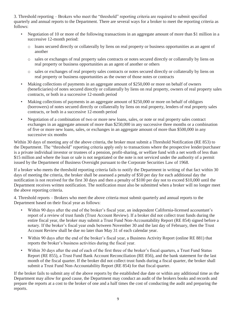3. Threshold reporting – Brokers who meet the "threshold" reporting criteria are required to submit specified quarterly and annual reports to the Department. There are several ways for a broker to meet the reporting criteria as follows:

- Negotiation of 10 or more of the following transactions in an aggregate amount of more than \$1 million in a successive 12-month period:
	- o loans secured directly or collaterally by liens on real property or business opportunities as an agent of another
	- real property or business opportunities as an agent of another or others o sales or exchanges of real property sales contracts or notes secured directly or collaterally by liens on
	- o sales or exchanges of real property sales contracts or notes secured directly or collaterally by liens on real property or business opportunities as the owner of those notes or contracts
- (beneficiaries) of notes secured directly or collaterally by liens on real property, owners of real property sales Making collections of payments in an aggregate amount of \$250,000 or more on behalf of owners contracts, or both in a successive 12-month period
- (borrowers) of notes secured directly or collaterally by liens on real property, lenders of real property sales Making collections of payments in an aggregate amount of \$250,000 or more on behalf of obligors contracts, or both in a successive 12-month period
- Negotiation of a combination of two or more new loans, sales, or note or real property sales contract exchanges in an aggregate amount of more than \$250,000 in any successive three months or a combination of five or more new loans, sales, or exchanges in an aggregate amount of more than \$500,000 in any successive six months

\$15 million and where the loan or sale is not negotiated or the note is not serviced under the authority of a permit issued by the Department of Business Oversight pursuant to the Corporate Securities Law of 1968. Within 30 days of meeting any of the above criteria, the broker must submit a Threshold Notification (RE 853) to the Department. The "threshold" reporting criteria apply only to transactions where the prospective lender/purchaser is a private individual investor or trustees of a pension, profit-sharing, or welfare fund with a net worth of less than

 days of meeting the criteria, the broker shall be assessed a penalty of \$50 per day for each additional day the notification is not received for the first 30 days and then a penalty of \$100 per day not to exceed \$10,000 until the If a broker who meets the threshold reporting criteria fails to notify the Department in writing of that fact within 30 Department receives written notification. The notification must also be submitted when a broker will no longer meet the above reporting criteria.

 4. Threshold reports – Brokers who meet the above criteria must submit quarterly and annual reports to the Department based on their fiscal year as follows:

- notary. If the broker's fiscal year ends between November 30 and the last day of February, then the Trust • Within 90 days after the end of the broker's fiscal year, an independent California-licensed accountant's report of a review of trust funds (Trust Account Review). If a broker did not collect trust funds during the entire fiscal year, the broker may submit a Trust Fund Non-Accountability Report (RE 854) signed before a Account Review shall be due no later than May 31 of each calendar year.
- Within 90 days after the end of the broker's fiscal year, a Business Activity Report (online RE 881) that reports the broker's business activities during the fiscal year.
- Report (RE 855), a Trust Fund Bank Account Reconciliation (RE 856), and the bank statement for the last month of the fiscal quarter. If the broker did not collect trust funds during a fiscal quarter, the broker shall • Within 30 days after the end of each of the first three of the broker's fiscal quarters, a Trust Fund Status submit a Trust Fund Non-Accountability Report (RE 854) for that fiscal quarter.

 If the broker fails to submit any of the above reports by the established due date or within any additional time as the Department may allow for good cause, the Department may conduct an audit of the brokers books and records and prepare the reports at a cost to the broker of one and a half times the cost of conducting the audit and preparing the reports.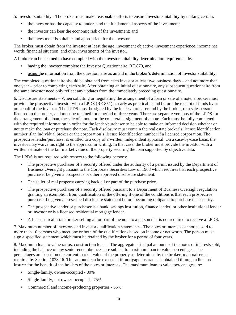5. Investor suitability - The broker must make reasonable efforts to ensure investor suitability by making certain:

- the investor has the capacity to understand the fundamental aspects of the investment;
- the investor can bear the economic risk of the investment; and
- the investment is suitable and appropriate for the investor.

The broker must obtain from the investor at least the age, investment objective, investment experience, income net worth, financial situation, and other investments of the investor.

A broker can be deemed to have complied with the investor suitability determination requirement by:

- having the investor complete the Investor Questionnaire, RE 870, and
- using the information from the questionnaire as an aid in the broker's determination of investor suitability.

The completed questionnaire should be obtained from each investor at least two business days – and not more than one year – prior to completing each sale. After obtaining an initial questionnaire, any subsequent questionnaire from the same investor need only reflect any updates from the immediately preceding questionnaire.

 6. Disclosure statements – When soliciting or negotiating the arrangement of a loan or sale of a note, a broker must licensed to the broker, and must be retained for a period of three years. There are separate versions of the LPDS for provide the prospective investor with a LPDS (RE 851) as early as practicable and before the receipt of funds by or on behalf of the investor. The LPDS must be signed by the lender/purchaser and by the broker, or a salesperson the arrangement of a loan, the sale of a note, or the collateral assignment of a note. Each must be fully completed with the required information in order for the lender/purchaser to be able to make an informed decision whether or not to make the loan or purchase the note. Each disclosure must contain the real estate broker's license identification number if an individual broker or the corporation's license identification number if a licensed corporation. The prospective lender/purchaser is entitled to a copy of a written, independent appraisal. On a case-by-case basis, the investor may waive his right to the appraisal in writing. In that case, the broker must provide the investor with a written estimate of the fair market value of the property securing the loan supported by objective data.

The LPDS is not required with respect to the following persons:

- • The prospective purchaser of a security offered under the authority of a permit issued by the Department of Business Oversight pursuant to the Corporate Securities Law of 1968 which requires that each prospective purchaser be given a prospectus or other approved disclosure statement.
- The seller of real property carrying back all or part of the purchase price.
- The prospective purchaser of a security offered pursuant to a Department of Business Oversight regulation granting an exemption from qualification of the offering if one of the conditions is that each prospective purchaser be given a prescribed disclosure statement before becoming obligated to purchase the security.
- The prospective lender or purchaser is a bank, savings institution, finance lender, or other institutional lender or investor or is a licensed residential mortgage lender.
- A licensed real estate broker selling all or part of the note to a person that is not required to receive a LPDS.

 sign a specified statement which must be retained by the broker for a period of four years. 7. Maximum number of investors and investor qualification statements - The notes or interests cannot be sold to more than 10 persons who meet one or both of the qualifications based on income or net worth. The person must

8. Maximum loan to value ratios, construction loans - The aggregate principal amounts of the notes or interests sold, including the balance of any senior encumbrances, are subject to maximum loan to value percentages. The percentages are based on the current market value of the property as determined by the broker or appraiser as required by Section 10232.6. This amount can be exceeded if mortgage insurance is obtained through a licensed insurer for the benefit of the holders of the notes or interests. The maximum loan to value percentages are:

- Single-family, owner-occupied 80%
- Single-family, not owner-occupied  $75\%$
- Commercial and income-producing properties 65%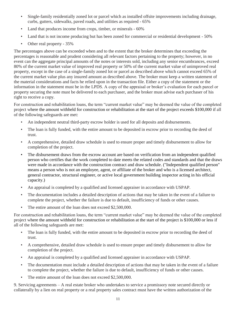- Single-family residentially zoned lot or parcel which as installed offsite improvements including drainage, curbs, gutters, sidewalks, paved roads, and utilities as required - 65%
- Land that produces income from crops, timber, or minerals  $60\%$
- Land that is not income producing but has been zoned for commercial or residential development 50%
- Other real property 35%

 The percentages above can be exceeded when and to the extent that the broker determines that exceeding the the current market value plus any insured amount as described above. The broker must keep a written statement of percentages is reasonable and prudent considering all relevant factors pertaining to the property; however, in no event can the aggregate principal amounts of the notes or interests sold, including any senior encumbrances, exceed 80% of the current market value of improved real property or 50% of the current market value of unimproved real property, except in the case of a single-family zoned lot or parcel as described above which cannot exceed 65% of the material considerations and facts he relied upon in the transaction file. Either a copy of the statement or the information in the statement must be in the LPDS. A copy of the appraisal or broker's evaluation for each parcel or property securing the note must be delivered to each purchaser, and the broker must advise each purchaser of his right to receive a copy.

For construction and rehabilitation loans, the term "current market value" may be deemed the value of the completed project where the amount withheld for construction or rehabilitation at the start of the project exceeds \$100,000 if all of the following safeguards are met:

- An independent neutral third-party escrow holder is used for all deposits and disbursements.
- • The loan is fully funded, with the entire amount to be deposited in escrow prior to recording the deed of trust.
- A comprehensive, detailed draw schedule is used to ensure proper and timely disbursement to allow for completion of the project.
- person who certifies that the work completed to date meets the related codes and standards and that the draws The disbursement draws from the escrow account are based on verification from an independent qualified were made in accordance with the construction contract and draw schedule. ("Independent qualified person" means a person who is not an employee, agent, or affiliate of the broker and who is a licensed architect, general contractor, structural engineer, or active local government building inspector acting in his official capacity.)
- An appraisal is completed by a qualified and licensed appraiser in accordance with USPAP.
- The documentation includes a detailed description of actions that may be taken in the event of a failure to complete the project, whether the failure is due to default, insufficiency of funds or other causes.
- The entire amount of the loan does not exceed \$2,500,000.

all of the following safeguards are met: For construction and rehabilitation loans, the term "current market value" may be deemed the value of the completed project where the amount withheld for construction or rehabilitation at the start of the project is \$100,000 or less if

- The loan is fully funded, with the entire amount to be deposited in escrow prior to recording the deed of The loan is fully funded, with the entire amount to be deposited in escrow prior to recording the deed of trust.
	- A comprehensive, detailed draw schedule is used to ensure proper and timely disbursement to allow for completion of the project.
	- An appraisal is completed by a qualified and licensed appraiser in accordance with USPAP.
	- The documentation must include a detailed description of actions that may be taken in the event of a failure to complete the project, whether the failure is due to default, insufficiency of funds or other causes.
	- The entire amount of the loan does not exceed \$2,500,000.

9. Servicing agreements – A real estate broker who undertakes to service a promissory note secured directly or collaterally by a lien on real property or a real property sales contract must have the written authorization of the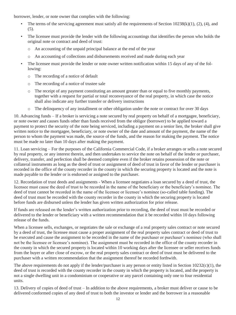- The terms of the servicing agreement must satisfy all the requirements of Section  $10238(k)(1)$ ,  $(2)$ ,  $(4)$ , and (5).
- The licensee must provide the lender with the following accountings that identifies the person who holds the original note or contract and deed of trust:
	- o An accounting of the unpaid principal balance at the end of the year
	- o An accounting of collections and disbursements received and made during each year
- The licensee must provide the lender or note owner written notification within 15 days of any of the following:
	- o The recording of a notice of default
	- o The recording of a notice of trustee sale
	- shall also indicate any further transfer or delivery instructions o The receipt of any payment constituting an amount greater than or equal to five monthly payments, together with a request for partial or total reconveyance of the real property, in which case the notice
	- o The delinquency of any installment or other obligation under the note or contract for over 30 days

borrower, lender, or note owner that complies with the following:<br>
• The terms of the servicing agreement must satisfy all the n<br>
(5).<br>
• The licensee must provide the lender with the following ac<br>
original note or contrac 10. Advancing funds – If a broker is servicing a note secured by real property on behalf of a mortgagee, beneficiary, or note owner and causes funds other than funds received from the obligor (borrower) to be applied toward a payment to protect the security of the note being serviced, including a payment on a senior lien, the broker shall give written notice to the mortgagee, beneficiary, or note owner of the date and amount of the payment, the name of the person to whom the payment was made, the source of the funds, and the reason for making the payment. The notice must be made no later than 10 days after making the payment.

11. Loan servicing – For the purposes of the California Commercial Code, if a broker arranges or sells a note secured by real property, or any interest therein, and then undertakes to service the note on behalf of the lender or purchaser, delivery, transfer, and perfection shall be deemed complete even if the broker retains possession of the note or collateral instruments as long as the deed of trust or assignment of deed of trust in favor of the lender or purchaser is recorded in the office of the county recorder in the county in which the securing property is located and the note is made payable to the lender or is endorsed or assigned to the purchaser.

 licensee must cause the deed of trust to be recorded in the name of the beneficiary or the beneficiary's nominee. The 12. Recordation of trust deeds and assignments - When a licensee negotiates a loan secured by a deed of trust, the deed of trust cannot be recorded in the name of the licensee or licensee's nominee (so-called table funding). The deed of trust must be recorded with the county recorder in the county in which the securing property is located before funds are disbursed unless the lender has given written authorization for prior release.

If funds are released on the lender's written authorization prior to recording, the deed of trust must be recorded or delivered to the lender or beneficiary with a written recommendation that it be recorded within 10 days following release of the funds.

 purchaser with a written recommendation that the assignment thereof be recorded forthwith. When a licensee sells, exchanges, or negotiates the sale or exchange of a real property sales contract or note secured by a deed of trust, the licensee must cause a proper assignment of the real property sales contract or deed of trust to be executed and cause the assignment to be recorded in the name of the purchaser or purchaser's nominee (who shall not be the licensee or licensee's nominee). The assignment must be recorded in the office of the county recorder in the county in which the secured property is located within 10 working days after the licensee or seller receives funds from the buyer or after close of escrow, or the real property sales contract or deed of trust must be delivered to the

 deed of trust is recorded with the county recorder in the county in which the property is located, and the property is The above requirements do not apply if the lender/purchaser is any person or entity listed in Section  $10232(c)(1)$ , the not a single dwelling unit in a condominium or cooperative or any parcel containing only one to four residential units.

13. Delivery of copies of deed of trust – In addition to the above requirements, a broker must deliver or cause to be delivered conformed copies of any deed of trust to both the investor or lender and the borrower in a reasonable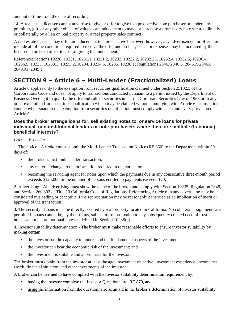<span id="page-14-0"></span>amount of time from the date of recording.

 14. A real estate licensee cannot advertise to give or offer to give to a prospective note purchaser or lender, any premium, gift, or any other object of value as an inducement to make or purchase a promissory note secured directly or collaterally by a lien on real property or a real property sales contract.

 A real estate licensee may offer an inducement to a prospective borrower; however, any advertisement or offer must include all of the conditions required to receive the offer and no fees, costs, or expenses may be increased by the licensee in order to offset to cost of giving the inducement.

Reference: Sections 10230, 10231, 10231.1, 10231.2, 10232, 10232.2, [10232.25](https://10232.25), 10232.4, 10232.5, 10236.4, 10236.5, 10233, 10233.1, 10233.2, 10234, 10234.5, 10235, 10236.1; Regulations 2846, 2846.5, 2846.7, 2846.8, 2849.01, 2849.1

## **SECTION 9 – Article 6 – Multi-Lender (Fractionalized) Loans**

 conducted pursuant to the exemption from securities qualification must comply with each and every provision of Article 6 applies only to the exemption from securities qualification claimed under Section 25102.5 of the Corporations Code and does not apply to transactions conducted pursuant to a permit issued by the Department of Business Oversight to qualify the offer and sale of securities under the Corporate Securities Law of 1968 or to any other exemption from securities qualification which may be claimed without complying with Article 6. Transactions Article 6.

### **Does the broker arrange loans for, sell existing notes to, or service loans for private individual, non-institutional lenders or note-purchasers where there are multiple (fractional) beneficial interests?**

### *Correct Procedure:*

1. The notice - A broker must submit the Multi-Lender Transaction Notice (RE 860) to the Department within 30 days of:

- the broker's first multi-lender transaction;
- any material change to the information required in the notice; or
- becoming the servicing agent for notes upon which the payments due in any consecutive three-month period exceeds \$125,000 or the number of persons entitled to payments exceeds 120.

2. Advertising - All advertising must show the name of the broker and comply with Section 10235, Regulation 2848, and Section 260.302 of Title 10 California Code of Regulations. Referencing Article 6 in any advertising may be considered misleading or deceptive if the representation may be reasonably construed as an implication of merit or approval of the transaction.

3. The security - Loans must be directly secured by real property located in California. No collateral assignments are permitted. Loans cannot be, by their terms, subject to subordination to any subsequently created deed of trust. The notes cannot be promotional notes as defined in Section 10238(d).

4. Investor suitability determination - The broker must make reasonable efforts to ensure investor suitability by making certain:

- the investor has the capacity to understand the fundamental aspects of the investment;
- the investor can bear the economic risk of the investment; and
- the investment is suitable and appropriate for the investor.

The broker must obtain from the investor at least the age, investment objective, investment experience, income net worth, financial situation, and other investments of the investor.

A broker can be deemed to have complied with the investor suitability determination requirement by:

- having the investor complete the Investor Questionnaire, RE 870, and
- using the information from the questionnaire as an aid in the broker's determination of investor suitability.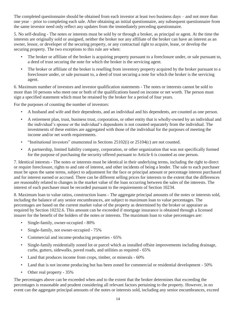The completed questionnaire should be obtained from each investor at least two business days – and not more than one year – prior to completing each sale. After obtaining an initial questionnaire, any subsequent questionnaire from the same investor need only reflect any updates from the immediately preceding questionnaire.

 5. No self-dealing - The notes or interests must be sold by or through a broker, as principal or agent. At the time the interests are originally sold or assigned, neither the broker nor any affiliate of the broker can have an interest as an owner, lessor, or developer of the securing property, or any contractual right to acquire, lease, or develop the securing property. The two exceptions to this rule are when:

- The broker or affiliate of the broker is acquiring property pursuant to a foreclosure under, or sale pursuant to, a deed of trust securing the note for which the broker is the servicing agent.
- • The broker or affiliate of the broker is reselling from inventory property acquired by the broker pursuant to a foreclosure under, or sale pursuant to, a deed of trust securing a note for which the broker is the servicing agent.

 sign a specified statement which must be retained by the broker for a period of four years. 6. Maximum number of investors and investor qualification statements - The notes or interests cannot be sold to more than 10 persons who meet one or both of the qualifications based on income or net worth. The person must

For the purposes of counting the number of investors:

- A husband and wife and their dependents, and an individual and his dependents, are counted as one person.
- investments of these entities are aggregated with those of the individual for the purposes of meeting the • A retirement plan, trust, business trust, corporation, or other entity that is wholly-owned by an individual and the individual's spouse or the individual's dependents is not counted separately from the individual. The income and/or net worth requirements.
- "Institutional investors" enumerated in Sections 25102(i) or 25104(c) are not counted.
- A partnership, limited liability company, corporation, or other organization that was not specifically formed for the purpose of purchasing the security offered pursuant to Article 6 is counted as one person.

 and for interest earned or accrued. There can be different selling prices for interests to the extent that the differences 7. Identical interests - The notes or interests must be identical in their underlying terms, including the right to direct or require foreclosure, rights to and rate of interest, and other incidents of being a lender. The sale to each purchaser must be upon the same terms, subject to adjustment for the face or principal amount or percentage interest purchased are reasonably related to changes in the market value of the loan occurring between the sales of the interests. The interest of each purchaser must be recorded pursuant to the requirements of Section 10234.

8. Maximum loan to value ratios, construction loans - The aggregate principal amounts of the notes or interests sold, including the balance of any senior encumbrances, are subject to maximum loan to value percentages. The percentages are based on the current market value of the property as determined by the broker or appraiser as required by Section 10232.6. This amount can be exceeded if mortgage insurance is obtained through a licensed insurer for the benefit of the holders of the notes or interests. The maximum loan to value percentages are:

- Single-family, owner-occupied 80%
- Single-family, not owner-occupied  $75%$
- Commercial and income-producing properties 65%
- Single-family residentially zoned lot or parcel which as installed offsite improvements including drainage, curbs, gutters, sidewalks, paved roads, and utilities as required - 65%
- Land that produces income from crops, timber, or minerals 60%
- Land that is not income producing but has been zoned for commercial or residential development 50%
- Other real property 35%

 The percentages above can be exceeded when and to the extent that the broker determines that exceeding the percentages is reasonable and prudent considering all relevant factors pertaining to the property. However, in no event can the aggregate principal amounts of the notes or interests sold, including any senior encumbrances, exceed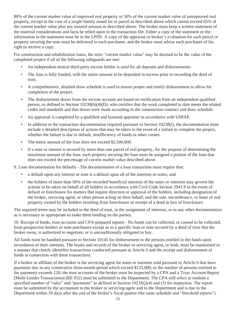the current market value plus any insured amount as described above. The broker must keep a written statement of 80% of the current market value of improved real property or 50% of the current market value of unimproved real property, except in the case of a single-family zoned lot or parcel as described above which cannot exceed 65% of the material considerations and facts he relied upon in the transaction file. Either a copy of the statement or the information in the statement must be in the LPDS. A copy of the appraisal or broker's evaluation for each parcel or property securing the note must be delivered to each purchaser, and the broker must advise each purchaser of his right to receive a copy.

For construction and rehabilitation loans, the term "current market value" may be deemed to be the value of the completed project if all of the following safeguards are met:

- An independent neutral third-party escrow holder is used for all deposits and disbursements.
- • The loan is fully funded, with the entire amount to be deposited in escrow prior to recording the deed of trust.
- A comprehensive, detailed draw schedule is used to ensure proper and timely disbursement to allow for completion of the project.
- The disbursement draws from the escrow account are based on verification from an independent qualified person, as defined in Section 10238(h)(4)(D), who certifies that the work completed to date meets the related codes and standards and that draws were made according to the construction contract and draw schedule.
- An appraisal is completed by a qualified and licensed appraiser in accordance with USPAP.
- whether the failure is due to default, insufficiency of funds or other causes. • In addition to the transaction documentation required pursuant to Section 10238(i), the documentation must include a detailed description of actions that may be taken in the event of a failure to complete the project,
- The entire amount of the loan does not exceed \$2,500,000.
- If a note or interest is secured by more than one parcel of real property, for the purpose of determining the maximum amount of the loan, each property securing the loan must be assigned a portion of the loan that does not exceed the percentage of current market value described above.

9. Loan documentation for defaults - The documentation of a loan transaction must require that:

- a default upon any interest or note is a default upon all of the interests or notes; and
- • the holders of more than 50% of the recorded beneficial interests of the notes or interests may govern the actions to be taken on behalf of all holders in accordance with Civil Code Section 2941.9 in the event of default or foreclosure for matters that require direction or approval of the holders, including designation of the broker, servicing agent, or other person acting on their behalf, and the sale, encumbrance, or lease of real property owned by the holders resulting from foreclosure or receipt of a deed in lieu of foreclosure.

 as is necessary or appropriate to make them binding on the parties. The required terms may be included in the deed of trust, in the assignment of interests, or in any other documentation

10. Receipt of funds, trust accounts and CPA-prepared reports - No funds can be collected, or caused to be collected, from prospective lenders or note purchasers except as to a specific loan or note secured by a deed of trust that the broker owns, is authorized to negotiate, or is unconditionally obligated to buy.

 All funds must be handled pursuant to Section 10145 for disbursement to the persons entitled to the funds upon recordation of their interests. The books and records of the broker or servicing agent, or both, must be maintained in a manner that clearly identifies transactions conducted pursuant to Article 6 and the receipt and disbursement of funds in connection with these transactions.

 (Multi-Lender Transactions) (RE 852) must be submitted to the Department. The CPA will select at random a If a broker or affiliate of the broker is the servicing agent for notes or interests sold pursuant to Article 6 that have payments due in any consecutive three-month period which exceed \$125,000, or the number of persons entitled to the payments exceeds 120, the trust accounts of the broker must be inspected by a CPA and a Trust Account Report specified number of "sales" and "payments" as defined in Section 10238(j)(4) and (5) for inspection. The report must be submitted by the accountant to the broker or servicing agent and to the Department and is due to the Department within 30 days after the end of the broker's fiscal quarter (the same schedule and "threshold reports").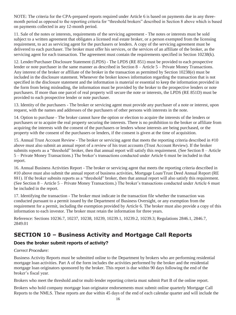<span id="page-17-0"></span>NOTE: The criteria for the CPA-prepared reports required under Article 6 is based on payments due in any threemonth period as opposed to the reporting criteria for "threshold brokers" described in Section 8 above which is based on payments collected in any 12-month period.

 requirement, to act as servicing agent for the purchasers or lenders. A copy of the servicing agreement must be servicing agent for each transaction. The agreement must contain the requirements specified in Section 10238(k). 11. Sale of the notes or interests, requirements of the servicing agreement - The notes or interests must be sold subject to a written agreement that obligates a licensed real estate broker, or a person exempted from the licensing delivered to each purchaser. The broker must offer his services, or the services of an affiliate of the broker, as the

 included in the disclosure statement. Whenever the broker knows information regarding the transaction that is not 12. Lender/Purchaser Disclosure Statement (LPDS) - The LPDS (RE 851) must be provided to each prospective lender or note purchaser in the same manner as described in Section 8 – Article 5 – Private Money Transactions. Any interest of the broker or affiliate of the broker in the transaction as permitted by Section 10238(e) must be specified in the disclosure statement and the information is material or essential to keep the information provided in the form from being misleading, the information must be provided by the broker to the prospective lenders or note purchasers. If more than one parcel of real property will secure the note or interests, the LPDS (RE 851D) must be provided to each prospective lender or note purchaser.

13. Identity of the purchasers - The broker or servicing agent must provide any purchaser of a note or interest, upon request, with the names and addresses of the purchasers of other persons with interests in the note.

14. Option to purchase - The broker cannot have the option or election to acquire the interests of the lenders or purchasers or to acquire the real property securing the interests. There is no prohibition to the broker or affiliate from acquiring the interests with the consent of the purchasers or lenders whose interests are being purchased, or the property with the consent of the purchasers or lenders, if the consent is given at the time of acquisition.

 above must also submit an annual report of a review of his trust accounts (Trust Account Review). If the broker 15. Annual Trust Account Review - The broker or servicing agent that meets the reporting criteria described in #10 submits reports as a "threshold" broker, then that annual report will satisfy this requirement. (See Section 8 – Article 5 – Private Money Transactions.) The broker's transactions conducted under Article 6 must be included in that report.

16. Annual Business Activities Report - The broker or servicing agent that meets the reporting criteria described in #10 above must also submit the annual report of business activities, Mortgage Loan/Trust Deed Annual Report (RE 881). If the broker submits reports as a "threshold" broker, then that annual report will also satisfy this requirement. (See Section 8 – Article 5 – Private Money Transactions.) The broker's transactions conducted under Article 6 must be included in the report.

 requirement for a permit, including the exemption provided by Article 6. The broker must also provide a copy of this 17. Identifying the transaction - The broker must indicate in the transaction file whether the transaction was conducted pursuant to a permit issued by the Department of Business Oversight, or any exemption from the information to each investor. The broker must retain the information for three years.

Reference: Sections 10236.7, 10237, 10238, 10239, 10239.1, 10239.2, 10239.3; Regulations 2846.1, 2846.7, 2849.01

### **SECTION 10 – Business Activity and Mortgage Call Reports**

### **Does the broker submit reports of activity?**

### *Correct Procedure:*

 Business Activity Reports must be submitted online to the Department by brokers who are performing residential mortgage loan activities. Part A of the form includes the activities performed by the broker and the residential mortgage loan originators sponsored by the broker. This report is due within 90 days following the end of the broker's fiscal year.

Brokers who meet the threshold and/or multi-lender reporting criteria must submit Part B of the online report.

 Reports to the NMLS. These reports are due within 45 days of the end of each calendar quarter and will include the Brokers who hold company mortgage loan originator endorsements must submit online quarterly Mortgage Call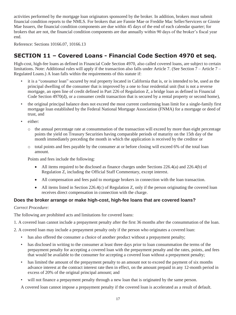<span id="page-18-0"></span>activities performed by the mortgage loan originators sponsored by the broker. In addition, brokers must submit financial condition reports to the NMLS. For brokers that are Fannie Mae or Freddie Mac Seller/Servicers or Ginnie Mae Issuers, the financial condition components are due within 45 days of the end of each calendar quarter; for brokers that are not, the financial condition components are due annually within 90 days of the broker's fiscal year end.

Reference: Sections [10166.07,](https://10166.07) [10166.13](https://10166.13) 

### **SECTION 11 – Covered Loans - Financial Code Section 4970 et seq.**

High-cost, high-fee loans as defined in Financial Code Section 4970, also called covered loans, are subject to certain limitations. Note: Additional rules will apply if the transaction also falls under Article 7. (See Section 7 – Article 7 – Regulated Loans.) A loan falls within the requirements of this statute if:

- it is a "consumer loan" secured by real property located in California that is, or is intended to be, used as the principal dwelling of the consumer that is improved by a one to four residential unit (but is not a reverse mortgage, an open line of credit defined in Part 226 of Regulation Z, a bridge loan as defined in Financial Code Section 4970(d), or a consumer credit transaction that is secured by a rental property or second home),
- • the original principal balance does not exceed the most current conforming loan limit for a single-family first mortgage loan established by the Federal National Mortgage Association (FNMA) for a mortgage or deed of trust, and
- either:
	- o the annual percentage rate at consummation of the transaction will exceed by more than eight percentage points the yield on Treasury Securities having comparable periods of maturity on the 15th day of the month immediately preceding the month in which the application is received by the creditor or
	- o total points and fees payable by the consumer at or before closing will exceed 6% of the total loan amount.

Points and fees include the following:

- All items required to be disclosed as finance charges under Sections 226.4(a) and 226.4(b) of Regulation Z, including the Official Staff Commentary, except interest.
- All compensation and fees paid to mortgage brokers in connection with the loan transaction.
- All items listed in Section 226.4(c) of Regulation Z, only if the person originating the covered loan receives direct compensation in connection with the charge.

### **Does the broker arrange or make high-cost, high-fee loans that are covered loans?**

### *Correct Procedure:*

The following are prohibited acts and limitations for covered loans:

1. A covered loan cannot include a prepayment penalty after the first 36 months after the consummation of the loan.

2. A covered loan may include a prepayment penalty only if the person who originates a covered loan:

- has also offered the consumer a choice of another product without a prepayment penalty;
- • has disclosed in writing to the consumer at least three days prior to loan consummation the terms of the prepayment penalty for accepting a covered loan with the prepayment penalty and the rates, points, and fees that would be available to the consumer for accepting a covered loan without a prepayment penalty;
- excess of 20% of the original principal amount; and • has limited the amount of the prepayment penalty to an amount not to exceed the payment of six months advance interest at the contract interest rate then in effect, on the amount prepaid in any 12-month period in
- will not finance a prepayment penalty through a new loan that is originated by the same person.

A covered loan cannot impose a prepayment penalty if the covered loan is accelerated as a result of default.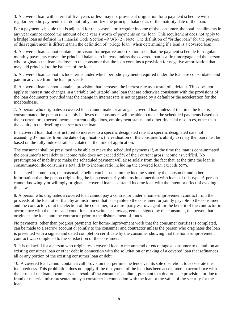regular periodic payments that do not fully amortize the principal balance as of the maturity date of the loan.

 any year cannot exceed the amount of one year's worth of payments on the loan. This requirement does not apply to 3. A covered loan with a term of five years or less may not provide at origination for a payment schedule with<br>regular periodic payments that do not fully amortize the principal balance as of the maturity date of the loan. For a payment schedule that is adjusted for the seasonal or irregular income of the consumer, the total installments in a bridge loan as defined in Financial Code Section 4973(b)(2). Note: The definition of "bridge loan" for the purpose of this requirement is different than the definition of "bridge loan" when determining if a loan is a covered loan.

 4. A covered loan cannot contain a provision for negative amortization such that the payment schedule for regular monthly payments causes the principal balance to increase unless the covered loan is a first mortgage and the person who originates the loan discloses to the consumer that the loan contains a provision for negative amortization that may add principal to the balance of the loan.

5. A covered loan cannot include terms under which periodic payments required under the loan are consolidated and paid in advance from the loan proceeds.

 6. A covered loan cannot contain a provision that increases the interest rate as a result of a default. This does not the loan documents provided that the change in interest rate is not triggered by a default or the acceleration for the apply to interest rate changes in a variable (adjustable) rate loan that are otherwise consistent with the provisions of indebtedness.

7. A person who originates a covered loan cannot make or arrange a covered loan unless at the time the loan is consummated the person reasonably believes the consumers will be able to make the scheduled payments based on their current or expected income, current obligations, employment status, and other financial resources, other than the equity in the dwelling that secures the loan.

In a covered loan that is structured to increase to a specific designated rate at a specific designated date not exceeding 37 months from the date of application, the evaluation of the consumer's ability to repay the loan must be based on the fully indexed rate calculated at the time of application.

 The consumer shall be presumed to be able to make the scheduled payments if, at the time the loan is consummated, the consumer's total debt to income ratio does not exceed 55% of their current gross income as verified. No presumption of inability to make the scheduled payment will arise solely from the fact that, at the time the loan is consummated, the consumer's total debt to income ratio including the covered loan, exceeds 55%.

In a stated income loan, the reasonable belief can be based on the income stated by the consumer and other information that the person originating the loan customarily obtains in connection with loans of this type. A person cannot knowingly or willingly originate a covered loan as a stated income loan with the intent or effect of evading this law.

 8. A person who originates a covered loan cannot pay a contractor under a home-improvement contract from the originates the loan, and the contractor prior to the disbursement of funds. proceeds of the loan other than by an instrument that is payable to the consumer, or jointly payable to the consumer and the contractor, or at the election of the consumer, to a third party escrow agent for the benefit of the contractor in accordance with the terms and conditions in a written escrow agreement signed by the consumer, the person that

No payments, other than progress payments for home-improvement work that the consumer certifies is completed, can be made to a escrow account or jointly to the consumer and contractor unless the person who originates the loan is presented with a signed and dated completion certificate by the consumer showing that the home-improvement contract was completed to the satisfaction of the consumer.

9. It is unlawful for a person who originates a covered loan to recommend or encourage a consumer to default on an existing consumer loan or other debt in connection with the solicitation or making of a covered loan that refinances all or any portion of the existing consumer loan or debt.

 10. A covered loan cannot contain a call provision that permits the lender, in its sole discretion, to accelerate the fraud or material misrepresentation by a consumer in connection with the loan or the value of the security for the indebtedness. This prohibition does not apply if the repayment of the loan has been accelerated in accordance with the terms of the loan documents as a result of the consumer's default, pursuant to a due-on-sale provision, or due to loan.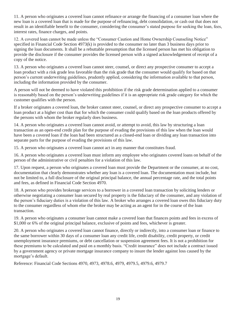new loan is a covered loan that is made for the purpose of refinancing, debt consolidation, or cash out that does not result in an identifiable benefit to the consumer, considering the consumer's stated purpose for seeking the loan, fees, interest rates, finance charges, and points.

11. A person who originates a covered boar cannot refinance or arrange the financing of a consume host where the acoust originates a consumer's started in an determination of a consumer's started inproved the anti-<br>test co 12. A covered loan cannot be made unless the "Consumer Caution and Home Ownership Counseling Notice" specified in Financial Code Section 4973(k) is provided to the consumer no later than 3 business days prior to signing the loan documents. It shall be a rebuttable presumption that the licensed person has met his obligation to provide the disclosure if the consumer provides the licensed person with a signed acknowledgement of receipt of a copy of the notice.

 13. A person who originates a covered loan cannot steer, counsel, or direct any prospective consumer to accept a person's current underwriting guidelines, prudently applied, considering the information available to that person, loan product with a risk grade less favorable than the risk grade that the consumer would qualify for based on that including the information provided by the consumer.

A person will not be deemed to have violated this prohibition if the risk grade determination applied to a consumer is reasonably based on the person's underwriting guidelines if it is an appropriate risk grade category for which the customer qualifies with the person.

 loan product at a higher cost than that for which the consumer could qualify based on the loan products offered by If a broker originates a covered loan, the broker cannot steer, counsel, or direct any prospective consumer to accept a the persons with whom the broker regularly does business.

14. A person who originates a covered loan cannot avoid, or attempt to avoid, this law by structuring a loan transaction as an open-end credit plan for the purpose of evading the provisions of this law when the loan would have been a covered loan if the loan had been structured as a closed-end loan or dividing any loan transaction into separate parts for the purpose of evading the provisions of this law.

15. A person who originates a covered loan cannot act in any manner that constitutes fraud.

16. A person who originates a covered loan must inform any employee who originates covered loans on behalf of the person of the administrative or civil penalties for a violation of this law.

17. Upon request, a person who originates a covered loan must provide the Department or the consumer, at no cost, documentation that clearly demonstrates whether any loan is a covered loan. The documentation must include, but not be limited to, a full disclosure of the original principal balance, the annual percentage rate, and the total points and fees, as defined in Financial Code Section 4970.

 otherwise negotiating a consumer loan secured by real property is the fiduciary of the consumer, and any violation of 18. A person who provides brokerage services to a borrower in a covered loan transaction by soliciting lenders or the person's fiduciary duties is a violation of this law. A broker who arranges a covered loan owes this fiduciary duty to the consumer regardless of whom else the broker may be acting as an agent for in the course of the loan transaction.

19. A person who originates a consumer loan cannot make a covered loan that finances points and fees in excess of \$1,000 or 6% of the original principal balance, exclusive of points and fees, whichever is greater.

 these premiums to be calculated and paid on a monthly basis. "Credit insurance" does not include a contract issued 20. A person who originates a covered loan cannot finance, directly or indirectly, into a consumer loan or finance to the same borrower within 30 days of a consumer loan any credit life, credit disability, credit property, or credit unemployment insurance premiums, or debt cancellation or suspension agreement fees. It is not a prohibition for by a government agency or private mortgage insurance company to insure the lender against loss caused by the mortgage's default.

Reference: Financial Code Sections 4970, 4973, 4978.6, 4979, 4979.5, 4979.6, 4979.7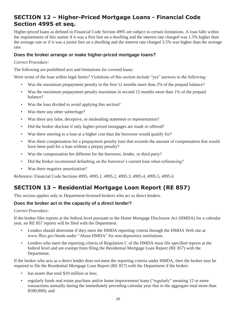### <span id="page-21-0"></span>**SECTION 12 – Higher-Priced Mortgage Loans - Financial Code Section 4995 et seq.**

Higher-priced loans as defined in Financial Code Section 4995 are subject to certain limitations. A loan falls within the requirements of this statute if it was a first lien on a dwelling and the interest rate charged was 1.5% higher than the average rate or if it was a junior lien on a dwelling and the interest rate charged 3.5% was higher than the average rate.

### **Does the broker arrange or make higher-priced mortgage loans?**

#### *Correct Procedure:*

The following are prohibited acts and limitations for covered loans:

Were terms of the loan within legal limits? Violations of this section include "yes" answers to the following:

- Was the maximum prepayment penalty in the first 12 months more than 2% of the prepaid balance?
- Was the maximum prepayment penalty maximum in second 12 months more than 1% of the prepaid balance?
- Was the loan divided to avoid applying this section?
- Was there any other subterfuge?
- Was there any false, deceptive, or misleading statement or representation?
- Did the broker disclose if only higher-priced mortgages are made or offered?
- Was there steering to a loan at a higher cost than the borrower would qualify for?
- Was there compensation for a prepayment penalty loan that exceeds the amount of compensation that would have been paid for a loan without a prepay penalty?
- Was the compensation fee different for the borrower, lender, or third party?
- Did the broker recommend defaulting on the borrower's current loan when refinancing?
- Was there negative amortization?

Reference: Financial Code Sections 4995, 4995.1, 4995.2, 4995.3, 4995.4, 4995.5, 4995.6

### **SECTION 13 – Residential Mortgage Loan Report (RE 857)**

This section applies only to Department-licensed brokers who act as direct lenders.

### **Does the broker act in the capacity of a direct lender?**

#### *Correct Procedure:*

If the broker files reports at the federal level pursuant to the Home Mortgage Disclosure Act (HMDA) for a calendar year, no RE 857 reports will be filed with the Department.

- • Lenders should determine if they meet the HMDA reporting criteria through the HMDA Web site at <www.ffiec.gov/hmda>under "About HMDA" for non-depository institutions.
- • Lenders who meet the reporting criteria of Regulation C of the HMDA must file specified reports at the federal level and are exempt from filing the Residential Mortgage Loan Report (RE 857) with the Department.

If the broker who acts as a direct lender does not meet the reporting criteria under HMDA, then the broker may be required to file the Residential Mortgage Loan Report (RE 857) with the Department if the broker:

- has assets that total \$10 million or less;
- regularly funds real estate purchase and/or home improvement loans ("regularly" meaning 12 or more transactions annually during the immediately preceding calendar year that in the aggregate total more than \$500,000); and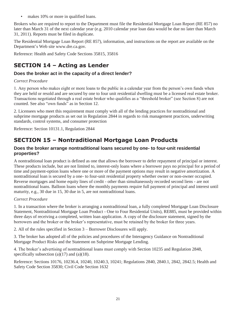<span id="page-22-0"></span> Brokers who are required to report to the Department must file the Residential Mortgage Loan Report (RE 857) no • makes 10% or more in qualified loans.<br>
kers who are required to report to the Departmen<br>
r than March 31 of the next calendar year (e.g. 20<br>
2011). Reports must be filed in duplicate.<br>
Residential Mortgage Loan Report ( later than March 31 of the next calendar year (e.g. 2010 calendar year loan data would be due no later than March 31, 2011). Reports must be filed in duplicate.

The Residential Mortgage Loan Report (RE 857), information, and instructions on the report are available on the Department's Web site [www.dre.ca.gov.](www.dre.ca.gov)

Reference: Health and Safety Code Sections 35815, 35816

### **SECTION 14 – Acting as Lender**

### **Does the broker act in the capacity of a direct lender?**

#### *Correct Procedure*

 1. Any person who makes eight or more loans to the public in a calendar year from the person's own funds when they are held or resold and are secured by one to four unit residential dwelling must be a licensed real estate broker. Transactions negotiated through a real estate broker who qualifies as a "threshold broker" (see Section 8) are not counted. See also "own funds" as in Section 12.

2. Licensees who meet this requirement must comply with all of the lending practices for nontraditional and subprime mortgage products as set out in Regulation 2844 in regards to risk management practices, underwriting standards, control systems, and consumer protection

Reference: Section 10131.1, Regulation 2844

### **SECTION 15 – Nontraditional Mortgage Loan Products**

### **Does the broker arrange nontraditional loans secured by one- to four-unit residential properties?**

 time and payment-option loans where one or more of the payment options may result in negative amortization. A A nontraditional loan product is defined as one that allows the borrower to defer repayment of principal or interest. These products include, but are not limited to, interest-only loans where a borrower pays no principal for a period of nontraditional loan is secured by a one- to four-unit residential property whether owner or non-owner occupied. Reverse mortgages and home equity lines of credit - other than simultaneously recorded second liens - are not nontraditional loans. Balloon loans where the monthly payments require full payment of principal and interest until maturity, e.g., 30 due in 15, 30 due in 5, are not nontraditional loans.

#### *Correct Procedure*

 1. In a transaction where the broker is arranging a nontraditional loan, a fully completed Mortgage Loan Disclosure Statement, Nontraditional Mortgage Loan Product - One to Four Residential Units), RE885, must be provided within three days of receiving a completed, written loan application. A copy of the disclosure statement, signed by the borrowers and the broker or the broker's representative, must be retained by the broker for three years.

2. All of the rules specified in Section 3 – Borrower Disclosures will apply.

3. The broker has adopted all of the policies and procedures of the Interagency Guidance on Nontraditional Mortgage Product Risks and the Statement on Subprime Mortgage Lending.

4. The broker's advertising of nontraditional loans must comply with Section 10235 and Regulation 2848, specifically subsection  $(a)(17)$  and  $(a)(18)$ .

Reference: Sections 10176, 10236.4, 10240, 10240.3, 10241; Regulations 2840, 2840.1, 2842, 2842.5; Health and Safety Code Section 35830; Civil Code Section 1632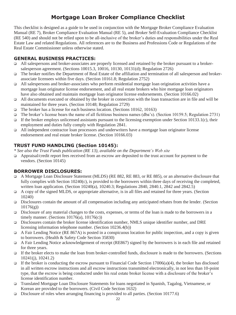### **Mortgage Loan Broker Compliance Checklist**

<span id="page-23-0"></span>This checklist is designed as a guide to be used in conjunction with the Mortgage Broker Compliance Evaluation Manual (RE 7), Broker Compliance Evaluation Manual (RE 5), and Broker Self-Evaluation Compliance Checklist (RE 540) and should not be relied upon to be all-inclusive of the broker's duties and responsibilities under the Real Estate Law and related Regulations. All references are to the Business and Professions Code or Regulations of the Real Estate Commissioner unless otherwise stated.

### **GENERAL BUSINESS PRACTICES:**

- All salespersons and broker-associates are properly licensed and retained by the broker pursuant to a brokersalesperson agreement. (Sections 10015.3, 10016, 10130, 10131(d); Regulation 2726)
- The broker notifies the Department of Real Estate of the affiliation and termination of all salesperson and brokerassociate licensees within five days. (Section 10161.8; Regulation 2752)
- All salespersons and broker-associates who perform residential mortgage loan origination activities have a mortgage loan originator license endorsement, and all real estate brokers who hire mortgage loan originators have also obtained and maintain mortgage loan originator license endorsements. (Section [10166.02\)](https://10166.02)
- All documents executed or obtained by the broker in connection with the loan transaction are in file and will be maintained for three years. (Section 10148; Regulation 2729)
- The broker has a license for each business location. (Sections 10162, 10163)
- The broker's license bears the name of all fictitious business names (dba's). (Section 10159.5; Regulation 2731)
- If the broker employs unlicensed assistants pursuant to the licensing exemption under Section 10133.1(c), their employment and duties fully comply with Regulation 2841.
- endorsement and real estate broker license. (Section [10166.03](https://10166.03)) All independent contractor loan processors and underwriters have a mortgage loan originator license

### **TRUST FUND HANDLING (Section 10145):**

*\* See also the Trust Funds publication (RE 13), available on the Department's Web site*

Appraisal/credit report fees received from an escrow are deposited to the trust account for payment to the vendors. (Section 10145)

### **BORROWER DISCLOSURES:**

- A Mortgage Loan Disclosure Statement (MLDS) (RE 882, RE 883, or RE 885), or an alternative disclosure that fully complies with Section 10240(c), is provided to the borrowers within three days of receiving the completed, written loan application. (Section 10240(a), 10240.3; Regulations 2840, 2840.1, 2842 and 2842.5)
- A copy of the signed MLDS, or appropriate alternative, is in all files and retained for three years. (Section 10240)
- Disclosures contain the amount of all compensation including any anticipated rebates from the lender. (Section  $10176(g)$
- Disclosure of any material changes to the costs, expenses, or terms of the loan is made to the borrowers in a timely manner. (Sections 10176(a), 10176(c))
- Disclosures contain the broker license identification number, NMLS unique identifier number, and DRE licensing information telephone number. (Section 10236.4(b))
- A Fair Lending Notice (RE 867A) is posted in a conspicuous location for public inspection, and a copy is given to borrowers. (Health & Safety Code Section 35830)
- A Fair Lending Notice acknowledgement of receipt (RE867) signed by the borrowers is in each file and retained for three years.
- If the broker elects to make the loan from broker-controlled funds, disclosure is made to the borrowers. (Sections 10241(j), 10241.2)
- in all written escrow instructions and all escrow instructions transmitted electronically, in not less than 10-point type, that the escrow is being conducted under his real estate broker license with a disclosure of the broker's If the broker is conducting the escrow pursuant to Financial Code Section  $17006(a)(4)$ , the broker has disclosed license identification number.
- Translated Mortgage Loan Disclosure Statements for loans negotiated in Spanish, Tagalog, Vietnamese, or Korean are provided to the borrowers. (Civil Code Section 1632)
- Disclosure of roles when arranging financing is provided to all parties. (Section 10177.6)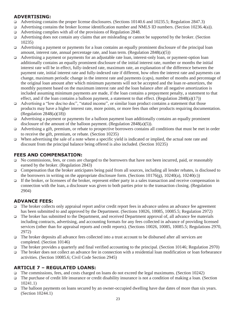### **ADVERTISING:**

- Advertising contains the proper license disclosures. (Sections 10140.6 and 10235.5; Regulation 2847.3)
- Advertising contains the broker license identification number and NMLS ID numbers. (Section 10236.4(a)).
- Advertising complies with all of the provisions of Regulation 2848.
- Advertising does not contain any claims that are misleading or cannot be supported by the broker. (Section 10235)
- Advertising a payment or payments for a loan contains an equally prominent disclosure of the principal loan amount, interest rate, annual percentage rate, and loan term. (Regulation  $2848(a)(5)$ )
- monthly payment based on the maximum interest rate and the loan balance after all negative amortization is included assuming minimum payments are made, if the loan contains a prepayment penalty, a statement to that  $\Box$  Advertising a payment or payments for an adjustable rate loan, interest-only loan, or payment-option loan additionally contains an equally prominent disclosure of the initial interest rate, number or months the initial interest rate will be in effect, fully-indexed rate, maximum rate, an explanation of the difference between the payment rate, initial interest rate and fully-indexed rate if different, how often the interest rate and payments can change, maximum periodic change in the interest rate and payments (caps), number of months and percentage of the original loan amount after which minimum payments will not be accepted and the loan re-amortizes, the effect, and if the loan contains a balloon payment, a statement to that effect. (Regulation  $2848(a)(17)$ )
- Advertising a "low doc/no doc", "stated income", or similar loan product contains a statement that those products may have a higher interest rate, more points, or more fees than other products requiring documentation. (Regulation 2848(a)(18))
- $\Box$  Advertising a payment or payments for a balloon payment loan additionally contains an equally prominent disclosure of the amount of the balloon payment. (Regulation 2848(a)(5)).
- $\Box$  Advertising a gift, premium, or rebate to prospective borrowers contains all conditions that must be met in order to receive the gift, premium, or rebate. (Section 10235)
- When advertising the sale of a note where a specific yield is indicated or implied, the actual note rate and discount from the principal balance being offered is also included. (Section 10235)

### **FEES AND COMPENSATION:**

- No commissions, fees, or costs are charged to the borrowers that have not been incurred, paid, or reasonably earned by the broker. (Regulation 2843)
- Compensation that the broker anticipates being paid from all sources, including all lender rebates, is disclosed to the borrowers in writing on the appropriate disclosure form. (Sections  $10176(g)$ ,  $10240(a)$ ,  $10240(c)$ )
- If the broker, or licensees of the broker, represent either party in a sales transaction and receive compensation in connection with the loan, a disclosure was given to both parties prior to the transaction closing. (Regulation 2904)

### **ADVANCE FEES:**

- □ The broker collects only appraisal report and/or credit report fees in advance unless an advance fee agreement has been submitted to and approved by the Department. (Sections 10026, 10085, 10085.5; Regulation 2972)
- □ The broker has submitted to the Department, and received Department approval of, all advance fee materials including contracts, advertising, and accounting formats for any fees collected in advance of providing licensed services (other than for appraisal reports and credit reports). (Sections 10026, 10085, 10085.5; Regulations 2970, 2972)
- The broker deposits all advance fees collected into a trust account to be disbursed after all services are completed. (Section 10146)
- The broker provides a quarterly and final verified accounting to the principal. (Section 10146; Regulation 2970)
- The broker does not collect an advance fee in connection with a residential loan modification or loan forbearance activities. (Section 10085.6; Civil Code Section 2945)

### **ARTICLE 7 – REGULATED LOANS:**

- $\Box$  The commissions, fees, and costs charged on loans do not exceed the legal maximums. (Section 10242)
- The purchase of credit life insurance or credit disability insurance is not a condition of making a loan. (Section 10241.1)
- The balloon payments on loans secured by an owner-occupied dwelling have due dates of more than six years. (Section 10244.1)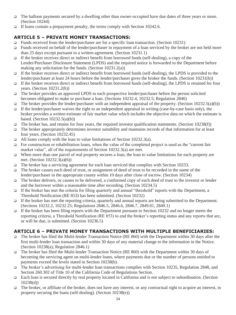- The balloon payments secured by a dwelling other than owner-occupied have due dates of three years or more. (Section 10244)
- $\Box$  If loans contain a prepayment penalty, the terms comply with Section 10242.6.

### **ARTICLE 5 – PRIVATE MONEY TRANSACTIONS:**

- □ Funds received from the lender/purchaser are for a specific loan transaction. (Section 10231)
- Funds received on behalf of the lender/purchaser in repayment of a loan serviced by the broker are not held more than 25 days except pursuant to a written agreement. (Section 10231.1)
- $\Box$  If the broker receives direct or indirect benefit from borrowed funds (self-dealing), a copy of the Lender/Purchaser Disclosure Statement (LPDS) and the required notice is forwarded to the Department before making any solicitation for the funds. (Section 10231.2(a))
- If the broker receives direct or indirect benefit from borrowed funds (self-dealing), the LPDS is provided to the lender/purchaser at least 24 hours before the lender/purchaser gives the broker the funds. (Section 10231(b))
- $\Box$  If the broker receives direct or indirect benefit from borrowed funds (self-dealing), the LPDS is retained for four years. (Section 10231.2(b))
- $\Box$  The broker provides an approved LPDS to each prospective lender/purchaser before the person solicited becomes obligated to make or purchase a loan. (Sections 10232.4, 10232.5; Regulation 2846)
- The broker provides the lender/purchaser with an independent appraisal of the property. (Section 10232.5(a)(b))
- If the lender/purchaser waives the right to an independent appraisal in writing (case-by-case basis only), the broker provides a written estimate of fair market value which includes the objective data on which the estimate is based. (Section  $10232.5(a)(b)$ )
- The broker has, and retains for four years, the required investor qualification statements. (Section  $10238(f)$ )
- $\Box$  The broker appropriately determines investor suitability and maintains records of that information for at least four years. (Section [10232.45](https://10232.45))
- $\Box$  All loans comply with the loan to value limitations of Section 10232.3(a).
- For construction or rehabilitation loans, when the value of the completed project is used as the "current fair market value", all of the requirements of Section 10232.3(a) are met.
- When more than one parcel of real property secures a loan, the loan to value limitations for each property are met. (Section 10232.3(a)(6))
- $\Box$  The broker has a servicing agreement for each loan serviced that complies with Section 10233.
- $\Box$  The broker causes each deed of trust, or assignment of deed of trust to be recorded in the name of the lender/purchaser in the appropriate county within 10 days after close of escrow. (Section 10234)
- and the borrower within a reasonable time after recording. (Section 10234.5)  $\Box$  The broker delivers, or causes to be delivered, a conformed copy of each deed of trust to the investor or lender
- If the broker has met the criteria for filing quarterly and annual "threshold" reports with the Department, a Threshold Notification (RE 853) has been submitted. (Section 10232)
- If the broker has met the reporting criteria, quarterly and annual reports are being submitted to the Department. (Sections 10232.2, [10232.25;](https://10232.25) Regulations 2846.5, 2846.6, 2846.7, 2849.01, 2849.1)
- If the broker has been filing reports with the Department pursuant to Section 10232 and no longer meets the reporting criteria, a Threshold Notification (RE 853) to end the broker's reporting status and any reports that are, or will be due, is submitted. (Section 10236.5)

### **ARTICLE 6 – PRIVATE MONEY TRANSACTIONS WITH MULTIPLE BENEFICIARIES:**

- The broker has filed the Multi-lender Transaction Notice (RE 860) with the Department within 30 days after the first multi-lender loan transaction and within 30 days of any material change to the information in the Notice. (Section 10238(a); Regulation 2846.1)
- The broker has filed the Multi-lender Transaction Notice (RE 860) with the Department within 30 days of becoming the servicing agent on multi-lender loans, where payments due or the number of persons entitled to payments exceed the levels stated in Section 10238(b).
- The broker's advertising for multi-lender loan transactions complies with Section 10235, Regulation 2848, and Section 260.302 of Title 10 of the California Code of Regulations Section.
- Each loan is secured directly by real property located in California and is not subject to subordination. (Section 10238(d))
- □ The broker, or affiliate of the broker, does not have any interest, or any contractual right to acquire an interest, in property securing the loans (self-dealing). (Section 10238(e))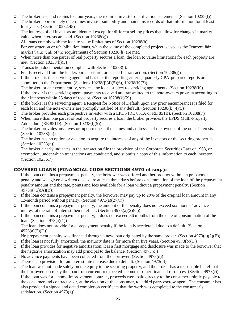- $\Box$  The broker has, and retains for four years, the required investor qualification statements. (Section 10238(f))
- The broker appropriately determines investor suitability and maintains records of that information for at least four years. (Section [10232.45](https://10232.45))
- $\Box$  The interests of all investors are identical except for different selling prices that allow for changes in market value when interests are sold. (Section  $10238(g)$ )
- $\Box$  All loans comply with the loan to value limitations of Section 10238(h).
- For construction or rehabilitation loans, when the value of the completed project is used as the "current fair market value", all of the requirements of Section 10238(h) are met.
- When more than one parcel of real property secures a loan, the loan to value limitations for each property are met. (Section 10238(h)(5))
- **Transaction documentation complies with Section 10238(i).**
- Funds received from the lender/purchaser are for a specific transaction. (Section 10238(j))
- If the broker is the servicing agent and has met the reporting criteria, quarterly CPA-prepared reports are submitted to the Department. (Sections  $10238(i)(4)(5)(6)$ ,  $10238(k)(3)$ )
- $\Box$  The broker, or an exempt entity, services the loans subject to servicing agreements. (Section 10238(k))
- If the broker is the servicing agent, payments received are transmitted to the note-owners pro-rata according to their interests within 25 days of receipt. (Section  $10238(k)(2)$ )
- If the broker is the servicing agent, a Request for Notice of Default upon any prior encumbrances is filed for each loan and the note-owners are promptly notified of any default. (Section  $10238(k)(4)(5)$ )
- The broker provides each prospective investor with a LPDS (RE 851A or RE 851B). (Section 10238(l))
- When more than one parcel of real property secures a loan, the broker provides the LPDS Multi-Property Addendum (RE 851D). (Section 10238(l)(5))
- □ The broker provides any investor, upon request, the names and addresses of the owners of the other interests. (Section 10238(m))
- $\Box$  The broker has no option or election to acquire the interests of any of the investors or the securing properties. (Section 10238(n))
- The broker clearly indicates in the transaction file the provision of the Corporate Securities Law of 1968, or exemption, under which transactions are conducted, and submits a copy of this information to each investor. (Section 10236.7)

### **COVERED LOANS (FINANCIAL CODE SECTIONS 4970 et seq.):**

- If the loan contains a prepayment penalty, the borrower was offered another product without a prepayment penalty and was given a written disclosure at least three days before consummation of the loan of the prepayment penalty amount and the rate, points and fees available for a loan without a prepayment penalty. (Section 4973(a)(2)(A)(B))
- If the loan contains a prepayment penalty, the borrower may pay up to 20% of the original loan amount in any 12-month period without penalty. (Section  $4973(a)(2)(C)$ )
- $\Box$  If the loan contains a prepayment penalty, the amount of the penalty does not exceed six months' advance interest at the rate of interest then in effect. (Section  $4973(a)(2)(C)$ )
- If the loan contains a prepayment penalty, it does not exceed 36 months from the date of consummation of the loan. (Section 4973(a)(1))
- $\Box$  The loan does not provide for a prepayment penalty if the loan is accelerated due to a default. (Section 4973(a)(2)(D))
- No prepayment penalty was financed through a new loan originated by the same broker. (Section 4973(a)(2)(E))
- $\Box$  If the loan is not fully amortized, the maturity date is for more than five years. (Section 4973(b)(1))
- If the loan provides for negative amortization, it is a first mortgage and disclosure was made to the borrower that the negative amortization may add principal to the balance. (Section 4973(c))
- $\Box$  No advance payments have been collected from the borrower. (Section 4973(d))
- There is no provision for an interest rate increase due to default. (Section 4973(e))
- $\Box$  The loan was not made solely on the equity in the securing property, and the broker has a reasonable belief that the borrower can repay the loan from current or expected income or other financial resources. (Section 4973(f))
- If the loan was for a home-improvement contract, proceeds were paid directly to the consumer, jointly payable to the consumer and contractor, or, at the election of the consumer, to a third party escrow agent. The consumer has also provided a signed and dated completion certificate that the work was completed to the consumer's satisfaction. (Section 4973(g))